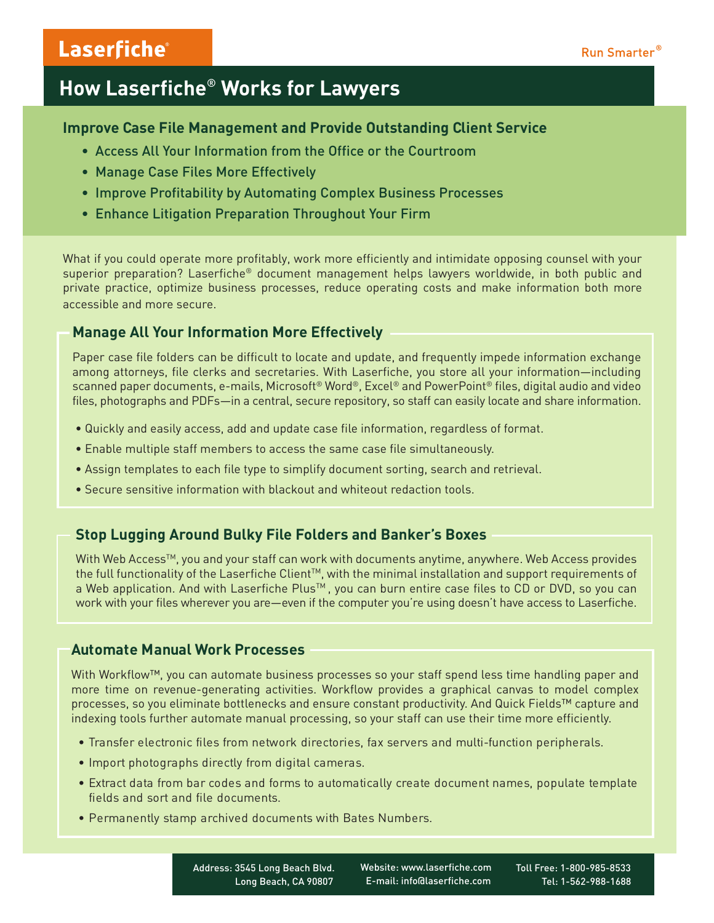# Laserfiche®

# **How Laserfiche**® **Works for Lawyers**

### **Improve Case File Management and Provide Outstanding Client Service**

- Access All Your Information from the Office or the Courtroom
- Manage Case Files More Effectively
- Improve Profitability by Automating Complex Business Processes
- Enhance Litigation Preparation Throughout Your Firm

What if you could operate more profitably, work more efficiently and intimidate opposing counsel with your superior preparation? Laserfiche® document management helps lawyers worldwide, in both public and private practice, optimize business processes, reduce operating costs and make information both more accessible and more secure.

# **Manage All Your Information More Effectively**

Paper case file folders can be difficult to locate and update, and frequently impede information exchange among attorneys, file clerks and secretaries. With Laserfiche, you store all your information—including scanned paper documents, e-mails, Microsoft® Word®, Excel® and PowerPoint® files, digital audio and video files, photographs and PDFs—in a central, secure repository, so staff can easily locate and share information.

- Quickly and easily access, add and update case file information, regardless of format.
- Enable multiple staff members to access the same case file simultaneously.
- Assign templates to each file type to simplify document sorting, search and retrieval.
- Secure sensitive information with blackout and whiteout redaction tools.

# **Stop Lugging Around Bulky File Folders and Banker's Boxes**

With Web Access<sup>™</sup>, you and your staff can work with documents anytime, anywhere. Web Access provides the full functionality of the Laserfiche Client<sup>TM</sup>, with the minimal installation and support requirements of a Web application. And with Laserfiche Plus™, you can burn entire case files to CD or DVD, so you can work with your files wherever you are—even if the computer you're using doesn't have access to Laserfiche.

## **Automate Manual Work Processes**

With Workflow™, you can automate business processes so your staff spend less time handling paper and more time on revenue-generating activities. Workflow provides a graphical canvas to model complex processes, so you eliminate bottlenecks and ensure constant productivity. And Quick Fields™ capture and indexing tools further automate manual processing, so your staff can use their time more efficiently.

- Transfer electronic files from network directories, fax servers and multi-function peripherals.
- Import photographs directly from digital cameras.
- Extract data from bar codes and forms to automatically create document names, populate template fields and sort and file documents.
- Permanently stamp archived documents with Bates Numbers.

 Address: 3545 Long Beach Blvd. Long Beach, CA 90807  Website: www.laserfiche.com E-mail: info@laserfiche.com  Toll Free: 1-800-985-8533 Tel: 1-562-988-1688